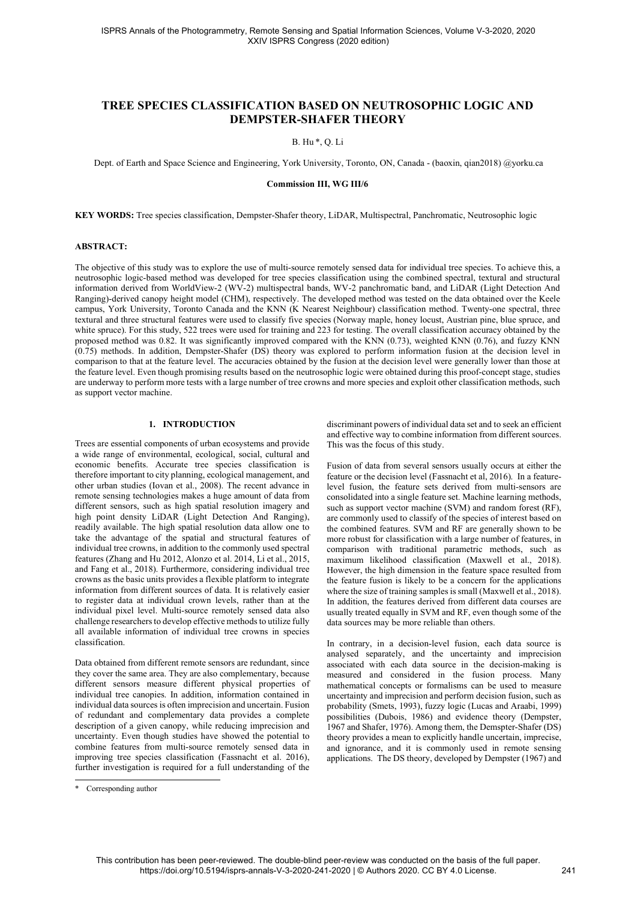# TREE SPECIES CLASSIFICATION BASED ON NEUTROSOPHIC LOGIC AND DEMPSTER-SHAFER THEORY

# B. Hu \*, Q. Li

Dept. of Earth and Space Science and Engineering, York University, Toronto, ON, Canada - (baoxin, qian2018) @yorku.ca

# Commission III, WG III/6

KEY WORDS: Tree species classification, Dempster-Shafer theory, LiDAR, Multispectral, Panchromatic, Neutrosophic logic

### ABSTRACT:

The objective of this study was to explore the use of multi-source remotely sensed data for individual tree species. To achieve this, a neutrosophic logic-based method was developed for tree species classification using the combined spectral, textural and structural information derived from WorldView-2 (WV-2) multispectral bands, WV-2 panchromatic band, and LiDAR (Light Detection And Ranging)-derived canopy height model (CHM), respectively. The developed method was tested on the data obtained over the Keele campus, York University, Toronto Canada and the KNN (K Nearest Neighbour) classification method. Twenty-one spectral, three textural and three structural features were used to classify five species (Norway maple, honey locust, Austrian pine, blue spruce, and white spruce). For this study, 522 trees were used for training and 223 for testing. The overall classification accuracy obtained by the proposed method was 0.82. It was significantly improved compared with the KNN (0.73), weighted KNN (0.76), and fuzzy KNN (0.75) methods. In addition, Dempster-Shafer (DS) theory was explored to perform information fusion at the decision level in comparison to that at the feature level. The accuracies obtained by the fusion at the decision level were generally lower than those at the feature level. Even though promising results based on the neutrosophic logic were obtained during this proof-concept stage, studies are underway to perform more tests with a large number of tree crowns and more species and exploit other classification methods, such as support vector machine.

# 1. INTRODUCTION

Trees are essential components of urban ecosystems and provide a wide range of environmental, ecological, social, cultural and economic benefits. Accurate tree species classification is therefore important to city planning, ecological management, and other urban studies (Iovan et al., 2008). The recent advance in remote sensing technologies makes a huge amount of data from different sensors, such as high spatial resolution imagery and high point density LiDAR (Light Detection And Ranging), readily available. The high spatial resolution data allow one to take the advantage of the spatial and structural features of individual tree crowns, in addition to the commonly used spectral features (Zhang and Hu 2012, Alonzo et al. 2014, Li et al., 2015, and Fang et al., 2018). Furthermore, considering individual tree crowns as the basic units provides a flexible platform to integrate information from different sources of data. It is relatively easier to register data at individual crown levels, rather than at the individual pixel level. Multi-source remotely sensed data also challenge researchers to develop effective methods to utilize fully all available information of individual tree crowns in species classification.

Data obtained from different remote sensors are redundant, since they cover the same area. They are also complementary, because different sensors measure different physical properties of individual tree canopies. In addition, information contained in individual data sources is often imprecision and uncertain. Fusion of redundant and complementary data provides a complete description of a given canopy, while reducing imprecision and uncertainty. Even though studies have showed the potential to combine features from multi-source remotely sensed data in improving tree species classification (Fassnacht et al. 2016), further investigation is required for a full understanding of the

Fusion of data from several sensors usually occurs at either the feature or the decision level (Fassnacht et al, 2016). In a featurelevel fusion, the feature sets derived from multi-sensors are consolidated into a single feature set. Machine learning methods, such as support vector machine (SVM) and random forest (RF), are commonly used to classify of the species of interest based on the combined features. SVM and RF are generally shown to be more robust for classification with a large number of features, in comparison with traditional parametric methods, such as maximum likelihood classification (Maxwell et al., 2018). However, the high dimension in the feature space resulted from the feature fusion is likely to be a concern for the applications where the size of training samples is small (Maxwell et al., 2018). In addition, the features derived from different data courses are usually treated equally in SVM and RF, even though some of the data sources may be more reliable than others.

In contrary, in a decision-level fusion, each data source is analysed separately, and the uncertainty and imprecision associated with each data source in the decision-making is measured and considered in the fusion process. Many mathematical concepts or formalisms can be used to measure uncertainty and imprecision and perform decision fusion, such as probability (Smets, 1993), fuzzy logic (Lucas and Araabi, 1999) possibilities (Dubois, 1986) and evidence theory (Dempster, 1967 and Shafer, 1976). Among them, the Demspter-Shafer (DS) theory provides a mean to explicitly handle uncertain, imprecise, and ignorance, and it is commonly used in remote sensing applications. The DS theory, developed by Dempster (1967) and

discriminant powers of individual data set and to seek an efficient and effective way to combine information from different sources. This was the focus of this study.

<sup>\*</sup> Corresponding author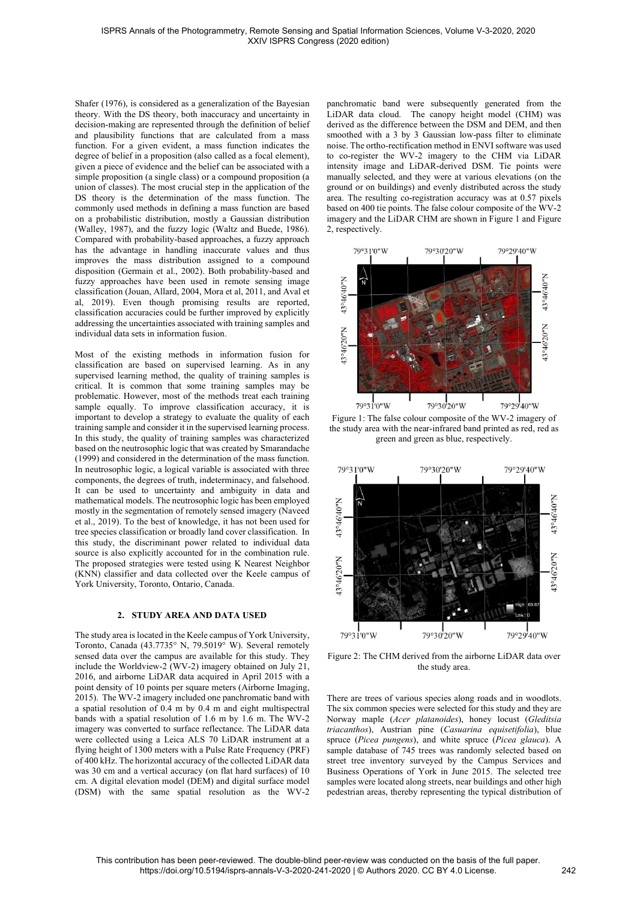Shafer (1976), is considered as a generalization of the Bayesian theory. With the DS theory, both inaccuracy and uncertainty in decision-making are represented through the definition of belief and plausibility functions that are calculated from a mass function. For a given evident, a mass function indicates the degree of belief in a proposition (also called as a focal element), given a piece of evidence and the belief can be associated with a simple proposition (a single class) or a compound proposition (a union of classes). The most crucial step in the application of the DS theory is the determination of the mass function. The commonly used methods in defining a mass function are based on a probabilistic distribution, mostly a Gaussian distribution (Walley, 1987), and the fuzzy logic (Waltz and Buede, 1986). Compared with probability-based approaches, a fuzzy approach has the advantage in handling inaccurate values and thus improves the mass distribution assigned to a compound disposition (Germain et al., 2002). Both probability-based and fuzzy approaches have been used in remote sensing image classification (Jouan, Allard, 2004, Mora et al, 2011, and Aval et al, 2019). Even though promising results are reported, classification accuracies could be further improved by explicitly addressing the uncertainties associated with training samples and individual data sets in information fusion.

Most of the existing methods in information fusion for classification are based on supervised learning. As in any supervised learning method, the quality of training samples is critical. It is common that some training samples may be problematic. However, most of the methods treat each training sample equally. To improve classification accuracy, it is important to develop a strategy to evaluate the quality of each training sample and consider it in the supervised learning process. In this study, the quality of training samples was characterized based on the neutrosophic logic that was created by Smarandache (1999) and considered in the determination of the mass function. In neutrosophic logic, a logical variable is associated with three components, the degrees of truth, indeterminacy, and falsehood. It can be used to uncertainty and ambiguity in data and mathematical models. The neutrosophic logic has been employed mostly in the segmentation of remotely sensed imagery (Naveed et al., 2019). To the best of knowledge, it has not been used for tree species classification or broadly land cover classification. In this study, the discriminant power related to individual data source is also explicitly accounted for in the combination rule. The proposed strategies were tested using K Nearest Neighbor (KNN) classifier and data collected over the Keele campus of York University, Toronto, Ontario, Canada.

# 2. STUDY AREA AND DATA USED

The study area is located in the Keele campus of York University, Toronto, Canada (43.7735° N, 79.5019° W). Several remotely sensed data over the campus are available for this study. They include the Worldview-2 (WV-2) imagery obtained on July 21, 2016, and airborne LiDAR data acquired in April 2015 with a point density of 10 points per square meters (Airborne Imaging, 2015). The WV-2 imagery included one panchromatic band with a spatial resolution of 0.4 m by 0.4 m and eight multispectral bands with a spatial resolution of 1.6 m by 1.6 m. The WV-2 imagery was converted to surface reflectance. The LiDAR data were collected using a Leica ALS 70 LiDAR instrument at a flying height of 1300 meters with a Pulse Rate Frequency (PRF) of 400 kHz. The horizontal accuracy of the collected LiDAR data was 30 cm and a vertical accuracy (on flat hard surfaces) of 10 cm. A digital elevation model (DEM) and digital surface model (DSM) with the same spatial resolution as the WV-2

panchromatic band were subsequently generated from the LiDAR data cloud. The canopy height model (CHM) was derived as the difference between the DSM and DEM, and then smoothed with a 3 by 3 Gaussian low-pass filter to eliminate noise. The ortho-rectification method in ENVI software was used to co-register the WV-2 imagery to the CHM via LiDAR intensity image and LiDAR-derived DSM. Tie points were manually selected, and they were at various elevations (on the ground or on buildings) and evenly distributed across the study area. The resulting co-registration accuracy was at 0.57 pixels based on 400 tie points. The false colour composite of the WV-2 imagery and the LiDAR CHM are shown in Figure 1 and Figure 2, respectively.



Figure 1: The false colour composite of the WV-2 imagery of the study area with the near-infrared band printed as red, red as green and green as blue, respectively.



Figure 2: The CHM derived from the airborne LiDAR data over the study area.

There are trees of various species along roads and in woodlots. The six common species were selected for this study and they are Norway maple (*Acer platanoides*), honey locust (*Gleditsia triacanthos*), Austrian pine (*Casuarina equisetifolia*), blue spruce (*Picea pungens*), and white spruce (*Picea glauca*). A sample database of 745 trees was randomly selected based on street tree inventory surveyed by the Campus Services and Business Operations of York in June 2015. The selected tree samples were located along streets, near buildings and other high pedestrian areas, thereby representing the typical distribution of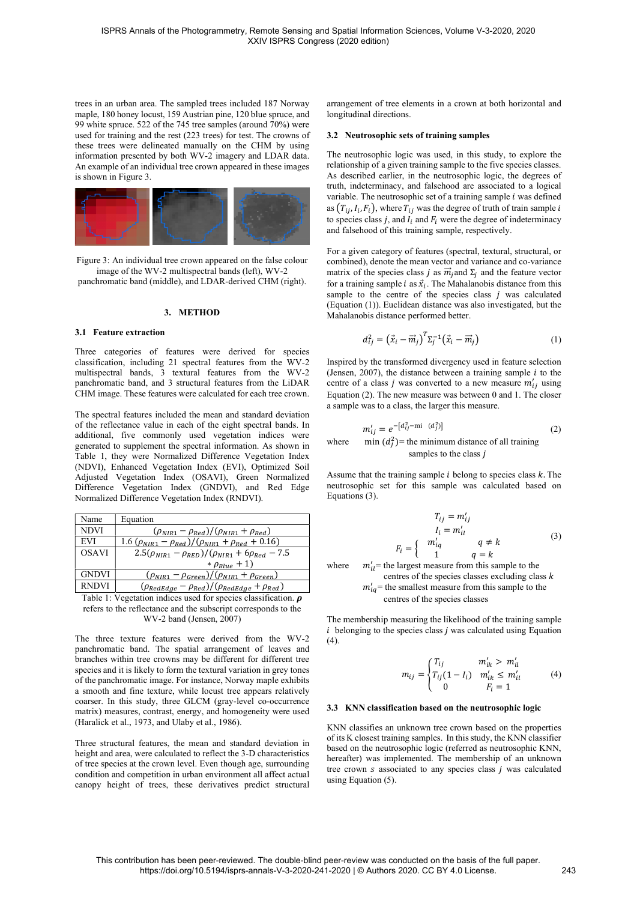trees in an urban area. The sampled trees included 187 Norway maple, 180 honey locust, 159 Austrian pine, 120 blue spruce, and 99 white spruce. 522 of the 745 tree samples (around 70%) were used for training and the rest (223 trees) for test. The crowns of these trees were delineated manually on the CHM by using information presented by both WV-2 imagery and LDAR data. An example of an individual tree crown appeared in these images is shown in Figure 3.



Figure 3: An individual tree crown appeared on the false colour image of the WV-2 multispectral bands (left), WV-2 panchromatic band (middle), and LDAR-derived CHM (right).

# 3. METHOD

### 3.1 Feature extraction

Three categories of features were derived for species classification, including 21 spectral features from the WV-2 multispectral bands, 3 textural features from the WV-2 panchromatic band, and 3 structural features from the LiDAR CHM image. These features were calculated for each tree crown.

The spectral features included the mean and standard deviation of the reflectance value in each of the eight spectral bands. In additional, five commonly used vegetation indices were generated to supplement the spectral information. As shown in Table 1, they were Normalized Difference Vegetation Index (NDVI), Enhanced Vegetation Index (EVI), Optimized Soil Adjusted Vegetation Index (OSAVI), Green Normalized Difference Vegetation Index (GNDVI), and Red Edge Normalized Difference Vegetation Index (RNDVI).

| Name                                                                                                                                                                                                                                                                                                            | Equation                                                                                  |  |  |  |
|-----------------------------------------------------------------------------------------------------------------------------------------------------------------------------------------------------------------------------------------------------------------------------------------------------------------|-------------------------------------------------------------------------------------------|--|--|--|
| <b>NDVI</b>                                                                                                                                                                                                                                                                                                     | $(\rho_{NIR1} - \rho_{Red})/(\rho_{NIR1} + \rho_{Red})$                                   |  |  |  |
| <b>EVI</b>                                                                                                                                                                                                                                                                                                      | 1.6 $(\rho_{NIR1} - \rho_{Red})/(\rho_{NIR1} + \rho_{Red} + 0.16)$                        |  |  |  |
| <b>OSAVI</b>                                                                                                                                                                                                                                                                                                    | $2.5(\rho_{NIR1} - \rho_{RED})/(\rho_{NIR1} + 6\rho_{Red} - 7.5)$                         |  |  |  |
|                                                                                                                                                                                                                                                                                                                 | * $\rho_{Blue} + 1$                                                                       |  |  |  |
| <b>GNDVI</b>                                                                                                                                                                                                                                                                                                    | $(\rho_{NIR1} - \rho_{Green})/(\rho_{NIR1} + \rho_{Green})$                               |  |  |  |
| <b>RNDVI</b>                                                                                                                                                                                                                                                                                                    | $(\rho_{\text{RedEdge}} - \rho_{\text{Red}})/(\rho_{\text{RedEdge}} + \rho_{\text{Red}})$ |  |  |  |
| $\mathbf{T}^{n}$ . If $\mathbf{1}^{n}$ , $\mathbf{1}^{n}$ , $\mathbf{1}^{n}$ , $\mathbf{1}^{n}$ , $\mathbf{1}^{n}$ , $\mathbf{1}^{n}$ , $\mathbf{1}^{n}$ , $\mathbf{1}^{n}$ , $\mathbf{1}^{n}$ , $\mathbf{1}^{n}$ , $\mathbf{1}^{n}$ , $\mathbf{1}^{n}$ , $\mathbf{1}^{n}$ , $\mathbf{1}^{n}$ , $\mathbf{1}^{n$ |                                                                                           |  |  |  |

Table 1: Vegetation indices used for species classification.  $\rho$ refers to the reflectance and the subscript corresponds to the WV-2 band (Jensen, 2007)

The three texture features were derived from the WV-2 panchromatic band. The spatial arrangement of leaves and branches within tree crowns may be different for different tree species and it is likely to form the textural variation in grey tones of the panchromatic image. For instance, Norway maple exhibits a smooth and fine texture, while locust tree appears relatively coarser. In this study, three GLCM (gray-level co-occurrence matrix) measures, contrast, energy, and homogeneity were used (Haralick et al., 1973, and Ulaby et al., 1986).

Three structural features, the mean and standard deviation in height and area, were calculated to reflect the 3-D characteristics of tree species at the crown level. Even though age, surrounding condition and competition in urban environment all affect actual canopy height of trees, these derivatives predict structural arrangement of tree elements in a crown at both horizontal and longitudinal directions.

#### 3.2 Neutrosophic sets of training samples

The neutrosophic logic was used, in this study, to explore the relationship of a given training sample to the five species classes. As described earlier, in the neutrosophic logic, the degrees of truth, indeterminacy, and falsehood are associated to a logical variable. The neutrosophic set of a training sample  $i$  was defined as  $(T_{ij}, I_i, F_i)$ , where  $T_{ij}$  was the degree of truth of train sample  $i$ to species class  $j$ , and  $I_i$  and  $F_i$  were the degree of indeterminacy and falsehood of this training sample, respectively.

For a given category of features (spectral, textural, structural, or combined), denote the mean vector and variance and co-variance matrix of the species class *j* as  $\vec{m}_i$  and  $\Sigma_i$  and the feature vector for a training sample *i* as  $\vec{x}_i$ . The Mahalanobis distance from this sample to the centre of the species class  $j$  was calculated (Equation (1)). Euclidean distance was also investigated, but the Mahalanobis distance performed better.

$$
d_{ij}^2 = \left(\vec{x}_i - \vec{m}_j\right)^T \Sigma_j^{-1} \left(\vec{x}_i - \vec{m}_j\right) \tag{1}
$$

Inspired by the transformed divergency used in feature selection (Jensen, 2007), the distance between a training sample  $i$  to the centre of a class  $j$  was converted to a new measure  $m'_{ij}$  using Equation (2). The new measure was between 0 and 1. The closer a sample was to a class, the larger this measure.

$$
m'_{ij} = e^{-[d_{ij}^2 - \text{mi} \ (d_j^2)]}
$$
 (2)

where min  $(d_j^2)$  = the minimum distance of all training samples to the class *i* 

Assume that the training sample  $i$  belong to species class  $k$ . The neutrosophic set for this sample was calculated based on Equations (3).

$$
T_{ij} = m'_{ij}
$$
  
\n
$$
I_i = m'_{ii}
$$
  
\n
$$
F_i = \begin{cases} m'_{iq} & q \neq k \\ 1 & q = k \end{cases}
$$
 (3)  
\n  
\nere  $m'_{il}$  = the largest measure from this sample to the

wh centres of the species classes excluding class  $k$  $m'_{iq}$  = the smallest measure from this sample to the centres of the species classes

The membership measuring the likelihood of the training sample  $i$  belonging to the species class  $j$  was calculated using Equation (4).

$$
m_{ij} = \begin{cases} T_{ij} & m'_{ik} > m'_{il} \\ T_{ij}(1 - I_i) & m'_{ik} \le m'_{il} \\ 0 & F_i = 1 \end{cases}
$$
 (4)

# 3.3 KNN classification based on the neutrosophic logic

KNN classifies an unknown tree crown based on the properties of its K closest training samples. In this study, the KNN classifier based on the neutrosophic logic (referred as neutrosophic KNN, hereafter) was implemented. The membership of an unknown tree crown  $s$  associated to any species class  $j$  was calculated using Equation (5).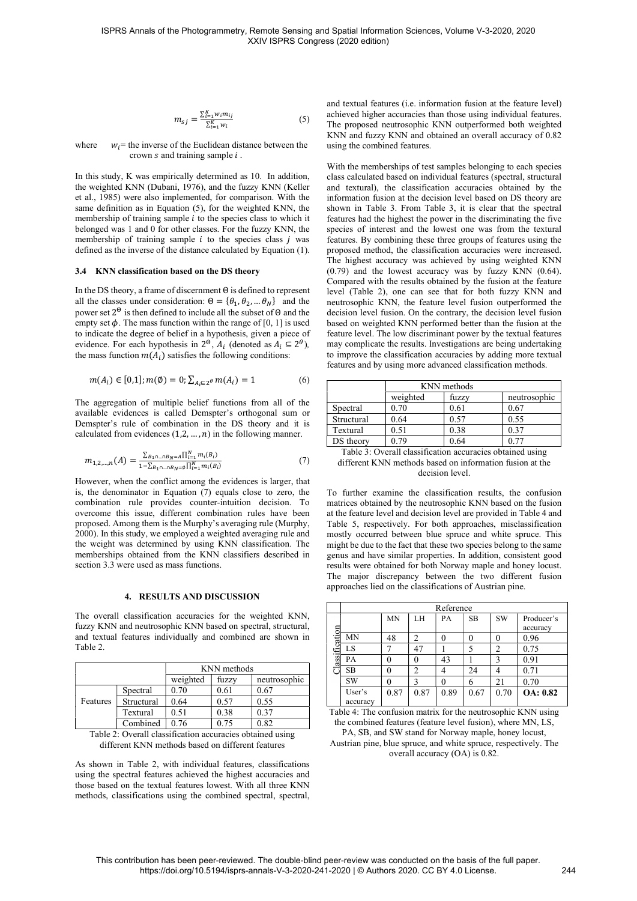$$
m_{sj} = \frac{\sum_{i=1}^{K} w_i m_{ij}}{\sum_{i=1}^{K} w_i}
$$
 (5)

where  $w_i$  = the inverse of the Euclidean distance between the crown  $s$  and training sample  $i$ .

In this study, K was empirically determined as 10. In addition, the weighted KNN (Dubani, 1976), and the fuzzy KNN (Keller et al., 1985) were also implemented, for comparison. With the same definition as in Equation (5), for the weighted KNN, the membership of training sample  $i$  to the species class to which it belonged was 1 and 0 for other classes. For the fuzzy KNN, the membership of training sample  $i$  to the species class  $j$  was defined as the inverse of the distance calculated by Equation (1).

#### 3.4 KNN classification based on the DS theory

In the DS theory, a frame of discernment  $\Theta$  is defined to represent all the classes under consideration:  $\Theta = {\theta_1, \theta_2, ... \theta_N}$  and the power set  $2^{\Theta}$  is then defined to include all the subset of  $\Theta$  and the empty set  $\phi$ . The mass function within the range of [0, 1] is used to indicate the degree of belief in a hypothesis, given a piece of evidence. For each hypothesis in  $2^{\theta}$ ,  $A_i$  (denoted as  $A_i \subseteq 2^{\theta}$ ), the mass function  $m(A_i)$  satisfies the following conditions:

$$
m(A_i) \in [0,1]; m(\emptyset) = 0; \sum_{A_i \subseteq 2^{\theta}} m(A_i) = 1 \tag{6}
$$

The aggregation of multiple belief functions from all of the available evidences is called Demspter's orthogonal sum or Demspter's rule of combination in the DS theory and it is calculated from evidences  $(1,2, \ldots, n)$  in the following manner.

$$
m_{1,2,...,n}(A) = \frac{\sum_{B_1 \cap ... \cap B_N = A} \prod_{i=1}^N m_i(B_i)}{1 - \sum_{B_1 \cap ... \cap B_N = \emptyset} \prod_{i=1}^N m_i(B_i)}
$$
(7)

However, when the conflict among the evidences is larger, that is, the denominator in Equation (7) equals close to zero, the combination rule provides counter-intuition decision. To overcome this issue, different combination rules have been proposed. Among them is the Murphy's averaging rule (Murphy, 2000). In this study, we employed a weighted averaging rule and the weight was determined by using KNN classification. The memberships obtained from the KNN classifiers described in section 3.3 were used as mass functions.

#### 4. RESULTS AND DISCUSSION

The overall classification accuracies for the weighted KNN, fuzzy KNN and neutrosophic KNN based on spectral, structural, and textual features individually and combined are shown in Table 2.

|          |            | KNN methods |       |              |
|----------|------------|-------------|-------|--------------|
|          |            | weighted    | fuzzv | neutrosophic |
|          | Spectral   | 0.70        | 0.61  | 0.67         |
| Features | Structural | 0.64        | 0.57  | 0.55         |
|          | Textural   | 0.51        | 0.38  | 0.37         |
|          | Combined   | 0.76        |       | 0.82         |

Table 2: Overall classification accuracies obtained using different KNN methods based on different features

As shown in Table 2, with individual features, classifications using the spectral features achieved the highest accuracies and those based on the textual features lowest. With all three KNN methods, classifications using the combined spectral, spectral,

and textual features (i.e. information fusion at the feature level) achieved higher accuracies than those using individual features. The proposed neutrosophic KNN outperformed both weighted KNN and fuzzy KNN and obtained an overall accuracy of 0.82 using the combined features.

With the memberships of test samples belonging to each species class calculated based on individual features (spectral, structural and textural), the classification accuracies obtained by the information fusion at the decision level based on DS theory are shown in Table 3. From Table 3, it is clear that the spectral features had the highest the power in the discriminating the five species of interest and the lowest one was from the textural features. By combining these three groups of features using the proposed method, the classification accuracies were increased. The highest accuracy was achieved by using weighted KNN (0.79) and the lowest accuracy was by fuzzy KNN (0.64). Compared with the results obtained by the fusion at the feature level (Table 2), one can see that for both fuzzy KNN and neutrosophic KNN, the feature level fusion outperformed the decision level fusion. On the contrary, the decision level fusion based on weighted KNN performed better than the fusion at the feature level. The low discriminant power by the textual features may complicate the results. Investigations are being undertaking to improve the classification accuracies by adding more textual features and by using more advanced classification methods.

|                                                           | KNN methods       |      |              |  |  |
|-----------------------------------------------------------|-------------------|------|--------------|--|--|
|                                                           | weighted<br>fuzzy |      | neutrosophic |  |  |
| Spectral                                                  | 0.70              | 0.61 | 0.67         |  |  |
| Structural                                                | 0.64              | 0.57 | 0.55         |  |  |
| Textural                                                  | 0.51              | 0.38 | 0.37         |  |  |
| DS theory                                                 | 0.79              | 0.64 | 0.77         |  |  |
| Table 3: Overall classification accuracies obtained using |                   |      |              |  |  |

different KNN methods based on information fusion at the decision level.

To further examine the classification results, the confusion matrices obtained by the neutrosophic KNN based on the fusion at the feature level and decision level are provided in Table 4 and Table 5, respectively. For both approaches, misclassification mostly occurred between blue spruce and white spruce. This might be due to the fact that these two species belong to the same genus and have similar properties. In addition, consistent good results were obtained for both Norway maple and honey locust. The major discrepancy between the two different fusion approaches lied on the classifications of Austrian pine.

|                                                                                                                                               | Reference |      |              |          |           |           |                  |
|-----------------------------------------------------------------------------------------------------------------------------------------------|-----------|------|--------------|----------|-----------|-----------|------------------|
|                                                                                                                                               |           | MN   | LH           | PA       | <b>SB</b> | <b>SW</b> | Producer's       |
|                                                                                                                                               |           |      |              |          |           |           | accuracy         |
|                                                                                                                                               | MN        | 48   | 2            | $\theta$ | $\theta$  | $\theta$  | 0.96             |
| assification                                                                                                                                  | LS        |      | 47           |          | 5         | 2         | 0.75             |
|                                                                                                                                               | PA        |      | 0            | 43       |           | 3         | 0.91             |
|                                                                                                                                               | <b>SB</b> |      | 2            | 4        | 24        | 4         | 0.71             |
|                                                                                                                                               | <b>SW</b> |      | $\mathbf{3}$ | $\Omega$ | 6         | 21        | 0.70             |
|                                                                                                                                               | User's    | 0.87 | 0.87         | 0.89     | 0.67      | 0.70      | <b>OA</b> : 0.82 |
|                                                                                                                                               | accuracy  |      |              |          |           |           |                  |
| ٠<br>$\sim$<br>$\cdot$ $\cdot$ $\sim$<br>$\cdot$<br>$-11$ $-1$ $-1$<br>$\cdot$ 1<br><b>TEXT</b><br><b>Contract Contract Contract Contract</b> |           |      |              |          |           |           |                  |

Table 4: The confusion matrix for the neutrosophic KNN using the combined features (feature level fusion), where MN, LS, PA, SB, and SW stand for Norway maple, honey locust, Austrian pine, blue spruce, and white spruce, respectively. The overall accuracy (OA) is 0.82.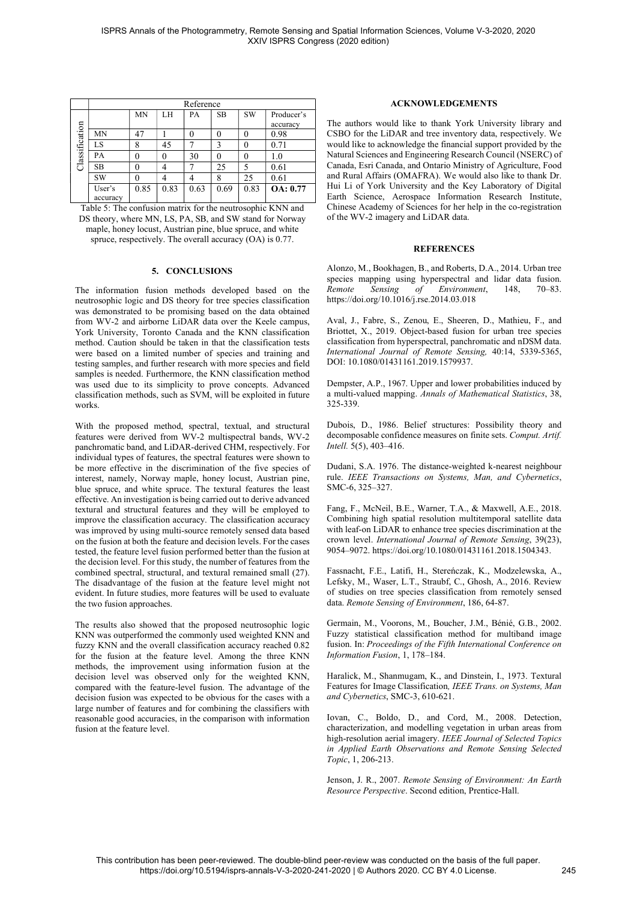|                | Reference |      |      |      |           |           |                  |
|----------------|-----------|------|------|------|-----------|-----------|------------------|
|                |           | MN   | LH   | PА   | <b>SB</b> | <b>SW</b> | Producer's       |
|                |           |      |      |      |           |           | accuracy         |
|                | MN        | 47   |      |      |           |           | 0.98             |
| Classification | LS        | 8    | 45   |      |           |           | 0.71             |
|                | PA        | 0    | 0    | 30   |           |           | $1.0\,$          |
|                | <b>SB</b> | 0    | 4    |      | 25        |           | 0.61             |
|                | SW        | 0    | 4    |      | 8         | 25        | 0.61             |
|                | User's    | 0.85 | 0.83 | 0.63 | 0.69      | 0.83      | <b>OA</b> : 0.77 |
|                | accuracy  |      |      |      |           |           |                  |

Table 5: The confusion matrix for the neutrosophic KNN and DS theory, where MN, LS, PA, SB, and SW stand for Norway maple, honey locust, Austrian pine, blue spruce, and white spruce, respectively. The overall accuracy (OA) is 0.77.

# 5. CONCLUSIONS

The information fusion methods developed based on the neutrosophic logic and DS theory for tree species classification was demonstrated to be promising based on the data obtained from WV-2 and airborne LiDAR data over the Keele campus, York University, Toronto Canada and the KNN classification method. Caution should be taken in that the classification tests were based on a limited number of species and training and testing samples, and further research with more species and field samples is needed. Furthermore, the KNN classification method was used due to its simplicity to prove concepts. Advanced classification methods, such as SVM, will be exploited in future works.

With the proposed method, spectral, textual, and structural features were derived from WV-2 multispectral bands, WV-2 panchromatic band, and LiDAR-derived CHM, respectively. For individual types of features, the spectral features were shown to be more effective in the discrimination of the five species of interest, namely, Norway maple, honey locust, Austrian pine, blue spruce, and white spruce. The textural features the least effective. An investigation is being carried out to derive advanced textural and structural features and they will be employed to improve the classification accuracy. The classification accuracy was improved by using multi-source remotely sensed data based on the fusion at both the feature and decision levels. For the cases tested, the feature level fusion performed better than the fusion at the decision level. For this study, the number of features from the combined spectral, structural, and textural remained small (27). The disadvantage of the fusion at the feature level might not evident. In future studies, more features will be used to evaluate the two fusion approaches.

The results also showed that the proposed neutrosophic logic KNN was outperformed the commonly used weighted KNN and fuzzy KNN and the overall classification accuracy reached 0.82 for the fusion at the feature level. Among the three KNN methods, the improvement using information fusion at the decision level was observed only for the weighted KNN, compared with the feature-level fusion. The advantage of the decision fusion was expected to be obvious for the cases with a large number of features and for combining the classifiers with reasonable good accuracies, in the comparison with information fusion at the feature level.

# ACKNOWLEDGEMENTS

The authors would like to thank York University library and CSBO for the LiDAR and tree inventory data, respectively. We would like to acknowledge the financial support provided by the Natural Sciences and Engineering Research Council (NSERC) of Canada, Esri Canada, and Ontario Ministry of Agriculture, Food and Rural Affairs (OMAFRA). We would also like to thank Dr. Hui Li of York University and the Key Laboratory of Digital Earth Science, Aerospace Information Research Institute, Chinese Academy of Sciences for her help in the co-registration of the WV-2 imagery and LiDAR data.

# **REFERENCES**

Alonzo, M., Bookhagen, B., and Roberts, D.A., 2014. Urban tree species mapping using hyperspectral and lidar data fusion. *Remote Sensing of Environment*, 148, 70–83. https://doi.org/10.1016/j.rse.2014.03.018

Aval, J., Fabre, S., Zenou, E., Sheeren, D., Mathieu, F., and Briottet, X., 2019. Object-based fusion for urban tree species classification from hyperspectral, panchromatic and nDSM data. *International Journal of Remote Sensing,* 40:14, 5339-5365, DOI: 10.1080/01431161.2019.1579937.

Dempster, A.P., 1967. Upper and lower probabilities induced by a multi-valued mapping. *Annals of Mathematical Statistics*, 38, 325-339.

Dubois, D., 1986. Belief structures: Possibility theory and decomposable confidence measures on finite sets. *Comput. Artif. Intell.* 5(5), 403–416.

Dudani, S.A. 1976. The distance-weighted k-nearest neighbour rule. *IEEE Transactions on Systems, Man, and Cybernetics*, SMC-6, 325–327.

Fang, F., McNeil, B.E., Warner, T.A., & Maxwell, A.E., 2018. Combining high spatial resolution multitemporal satellite data with leaf-on LiDAR to enhance tree species discrimination at the crown level. *International Journal of Remote Sensing*, 39(23), 9054–9072. https://doi.org/10.1080/01431161.2018.1504343.

Fassnacht, F.E., Latifi, H., Stereńczak, K., Modzelewska, A., Lefsky, M., Waser, L.T., Straubf, C., Ghosh, A., 2016. Review of studies on tree species classification from remotely sensed data. *Remote Sensing of Environment*, 186, 64-87.

Germain, M., Voorons, M., Boucher, J.M., Bénié, G.B., 2002. Fuzzy statistical classification method for multiband image fusion. In: *Proceedings of the Fifth International Conference on Information Fusion*, 1, 178–184.

Haralick, M., Shanmugam, K., and Dinstein, I., 1973. Textural Features for Image Classification*, IEEE Trans. on Systems, Man and Cybernetics*, SMC-3, 610-621.

Iovan, C., Boldo, D., and Cord, M., 2008. Detection, characterization, and modelling vegetation in urban areas from high-resolution aerial imagery. *IEEE Journal of Selected Topics in Applied Earth Observations and Remote Sensing Selected Topic*, 1, 206-213.

Jenson, J. R., 2007. *Remote Sensing of Environment: An Earth Resource Perspective*. Second edition, Prentice-Hall.